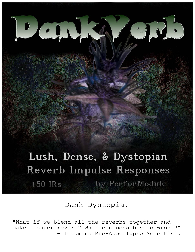# Lush, Dense, & Dystopian Reverb Impulse Responses by PerforModule **150 IRs**

Dank Dystopia.

"What if we blend all the reverbs together and make a super reverb? What can possibly go wrong?" - Infamous Pre-Apocalypse Scientist.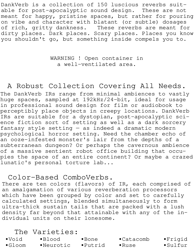DankVerb is a collection of 150 luscious reverbs suitable for post-apocalyptic sound design. These are not meant for happy, pristine spaces, but rather for pouring on vibe and character with blatant (or subtle) dosages of rich, gritty dankness. These reverbs are meant for dirty places. Dark places. Scary places. Places you know you shouldn't go, but something inside compels you to.

#### WARNING ! Open container in a well-ventilated area.

# A Robust Collection Covering All Needs.

The DankVerb IRs range from minimal ambiences to vastly huge spaces, sampled at 192kHz/24-bit, ideal for usage in professional sound design for film or audiobook to perceptibly place objects in creepy locations. DankVerb IRs are suitable for a dystopian, post-apocalyptic science fiction sort of setting as well as a dark sorcery fantasy style setting — as indeed a dramatic modern psychological horror setting. Need the chamber echo of an ooze-infested monster's lair from the depths of a subterranean dungeon? Or perhaps the cavernous ambience of a massive sentient robot office building that occupies the space of an entire continent? Or maybe a crazed lunatic's personal torture lab...

# Color-Based ComboVerbs.

There are ten colors (flavors) of IR, each comprised of an amalgamation of various reverberation processors which have been grouped by color and set to carefully calculated settings, blended simultaneously to form ultra-thick sustain tails that are packed with a lush density far beyond that attainable with any of the individual units on their lonesome.

#### The Varieties:

| $\bullet$ Void | $\bullet$ Blood | $\bullet$ Bone | $\bullet$ Catacomb | $\bullet$ Frigid |
|----------------|-----------------|----------------|--------------------|------------------|
|----------------|-----------------|----------------|--------------------|------------------|

•Gloom •Neurotic •Putrid •Ruse •Sulfur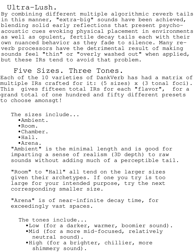Ultra-Lush.

By combining different multiple algorithmic reverb tails in this manner, "extra-big" sounds have been achieved, blending solid early reflections that present psychoacoustic cues evoking physical placement in environments as well as opulent, fertile decay tails each with their own nuanced behavior as they fade to silence. Many reverb processors have the detrimental result of making sounds feel "thin" or "overly washed out" when applied, but these IRs tend to avoid that problem.

Five Sizes. Three Tones.

Each of the 10 varieties of DankVerb has had a matrix of multiple IRs crafted for it: (5 sizes) x (3 tonal foci). This gives fifteen total IRs for each "flavor", for a grand total of one hundred and fifty different presets to choose amonsgt!

The sizes include...

- •Ambient.
- •Room.
- •Chamber.
- •Hall.
- •Arena.

"Ambient" is the minimal length and is good for imparting a sense of realism (3D depth) to raw sounds without adding much of a perceptible tail.

"Room" to "Hall" all tend on the larger sizes given their archetypes. If one you try is too large for your intended purpose, try the next corresponding smaller size.

"Arena" is of near-infinite decay time, for exceedingly vast spaces.

The tones include...

- •Low (for a darker, warmer, boomier sound).
- •Mid (for a more mid-focused, relatively neutral sound).
- •High (for a brighter, chillier, more shimmery sound).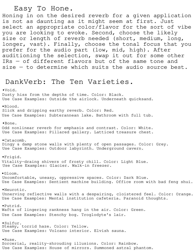Easy To Hone.

Honing in on the desired reverb for a given application is not as daunting as it might seem at first. Just select an appropriate color/flavor for the sort of vibe you are looking to evoke. Second, choose the likely size or length of reverb needed (short, medium, long, longer, vast). Finally, choose the tonal focus that you prefer for the audio part (low, mid, high). After auditioning the selection, swap it out for some other IRs — of different flavors but of the same tone and size - to determine which suits the audio source best.

### DankVerb: The Ten Varieties.

•Void. Dusty hiss from the depths of time. Color: Black. Use Case Examples: Outside the airlock. Underneath quicksand. •Blood. Slick and dripping earthy reverb. Color: Red. Use Case Examples: Subterannean lake. Bathroom with full tub. •Bone. Odd nonlinear reverb for emphasis and contrast. Color: White. Use Case Examples: Pillared gallery. Latticed treasure chest. •Catacomb. Dingy & damp stone walls with plenty of open passages. Color: Grey. Use Case Examples: Outdoor labyrinth. Underground cavern. •Frigid. Vitality-draing shivers of frosty chill. Color: Light Blue. Use Case Examples: Glacier. Walk-in freezer. •Gloom. Uncomfortable, uneasy, oppressive spaces. Color: Dark Blue. Use Case Examples: Sentient machine building. Office room with bad feng shui. •Neurotic. Unnerving reflective walls with a despairing, cloistered feel. Color: Orange. Use Case Examples: Mental institution cafeteria. Paranoid thoughts. •Putrid. Wafts of lingering rankness hang in the air. Color: Green. Use Case Examples: Stenchy bog. Troglodyte's lair. •Sulfur. Steamy, torrid haze. Color: Yellow. Use Case Examples: Volcano interior. Elvish sauna. •Ruse. Sorcerial, reality-shrouding illusions. Color: Rainbow. Use Case Examples: House of mirrors. Summoned astral phantom.